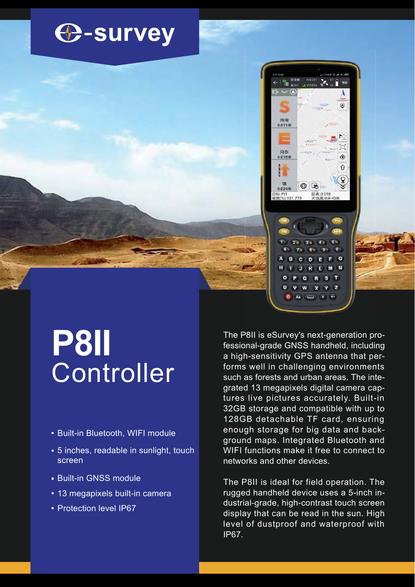



 $\overline{\mathbf{s}}$ 

 $YZ$ 

 $\overline{a}$ 

 $\overline{w}$  $\overline{\mathbf{x}}$ 

 $Aa$   $A$ 

 $\overline{\mathbf{v}}$ 

σ

 $\overline{a}$ 

## Controller **P8II**

- **Built-in Bluetooth, WIFI module**
- **5** inches, readable in sunlight, touch screen
- **Built-in GNSS module**
- **13 megapixels built-in camera**
- **Protection level IP67**

The P8II is eSurvey's next-generation professional-grade GNSS handheld, including a high-sensitivity GPS antenna that performs well in challenging environments such as forests and urban areas. The integrated 13 megapixels digital camera captures live pictures accurately. Built-in 32GB storage and compatible with up to 128GB detachable TF card, ensuring enough storage for big data and background maps. Integrated Bluetooth and WIFI functions make it free to connect to networks and other devices.

The P8II is ideal for field operation. The rugged handheld device uses a 5-inch industrial-grade, high-contrast touch screen display that can be read in the sun. High level of dustproof and waterproof with IP67.